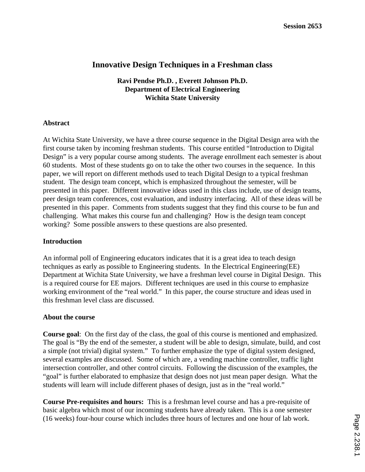# **Innovative Design Techniques in a Freshman class**

**Ravi Pendse Ph.D. , Everett Johnson Ph.D. Department of Electrical Engineering Wichita State University**

### **Abstract**

At Wichita State University, we have a three course sequence in the Digital Design area with the first course taken by incoming freshman students. This course entitled "Introduction to Digital Design" is a very popular course among students. The average enrollment each semester is about 60 students. Most of these students go on to take the other two courses in the sequence. In this paper, we will report on different methods used to teach Digital Design to a typical freshman student. The design team concept, which is emphasized throughout the semester, will be presented in this paper. Different innovative ideas used in this class include, use of design teams, peer design team conferences, cost evaluation, and industry interfacing. All of these ideas will be presented in this paper. Comments from students suggest that they find this course to be fun and challenging. What makes this course fun and challenging? How is the design team concept working? Some possible answers to these questions are also presented.

### **Introduction**

An informal poll of Engineering educators indicates that it is a great idea to teach design techniques as early as possible to Engineering students. In the Electrical Engineering(EE) Department at Wichita State University, we have a freshman level course in Digital Design. This is a required course for EE majors. Different techniques are used in this course to emphasize working environment of the "real world." In this paper, the course structure and ideas used in this freshman level class are discussed.

### **About the course**

**Course goal**: On the first day of the class, the goal of this course is mentioned and emphasized. The goal is "By the end of the semester, a student will be able to design, simulate, build, and cost a simple (not trivial) digital system." To further emphasize the type of digital system designed, several examples are discussed. Some of which are, a vending machine controller, traffic light intersection controller, and other control circuits. Following the discussion of the examples, the "goal" is further elaborated to emphasize that design does not just mean paper design. What the students will learn will include different phases of design, just as in the "real world."

**Course Pre-requisites and hours:** This is a freshman level course and has a pre-requisite of basic algebra which most of our incoming students have already taken. This is a one semester (16 weeks) four-hour course which includes three hours of lectures and one hour of lab work.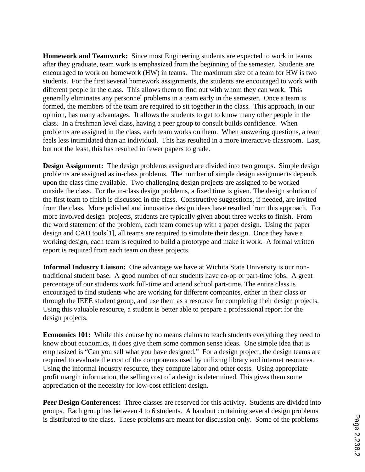**Homework and Teamwork:** Since most Engineering students are expected to work in teams after they graduate, team work is emphasized from the beginning of the semester. Students are encouraged to work on homework (HW) in teams. The maximum size of a team for HW is two students. For the first several homework assignments, the students are encouraged to work with different people in the class. This allows them to find out with whom they can work. This generally eliminates any personnel problems in a team early in the semester. Once a team is formed, the members of the team are required to sit together in the class. This approach, in our opinion, has many advantages. It allows the students to get to know many other people in the class. In a freshman level class, having a peer group to consult builds confidence. When problems are assigned in the class, each team works on them. When answering questions, a team feels less intimidated than an individual. This has resulted in a more interactive classroom. Last, but not the least, this has resulted in fewer papers to grade.

**Design Assignment:** The design problems assigned are divided into two groups. Simple design problems are assigned as in-class problems. The number of simple design assignments depends upon the class time available. Two challenging design projects are assigned to be worked outside the class. For the in-class design problems, a fixed time is given. The design solution of the first team to finish is discussed in the class. Constructive suggestions, if needed, are invited from the class. More polished and innovative design ideas have resulted from this approach. For more involved design projects, students are typically given about three weeks to finish. From the word statement of the problem, each team comes up with a paper design. Using the paper design and CAD tools[1], all teams are required to simulate their design. Once they have a working design, each team is required to build a prototype and make it work. A formal written report is required from each team on these projects.

**Informal Industry Liaison:** One advantage we have at Wichita State University is our nontraditional student base. A good number of our students have co-op or part-time jobs. A great percentage of our students work full-time and attend school part-time. The entire class is encouraged to find students who are working for different companies, either in their class or through the IEEE student group, and use them as a resource for completing their design projects. Using this valuable resource, a student is better able to prepare a professional report for the design projects.

**Economics 101:** While this course by no means claims to teach students everything they need to know about economics, it does give them some common sense ideas. One simple idea that is emphasized is "Can you sell what you have designed." For a design project, the design teams are required to evaluate the cost of the components used by utilizing library and internet resources. Using the informal industry resource, they compute labor and other costs. Using appropriate profit margin information, the selling cost of a design is determined. This gives them some appreciation of the necessity for low-cost efficient design.

**Peer Design Conferences:** Three classes are reserved for this activity. Students are divided into groups. Each group has between 4 to 6 students. A handout containing several design problems is distributed to the class. These problems are meant for discussion only. Some of the problems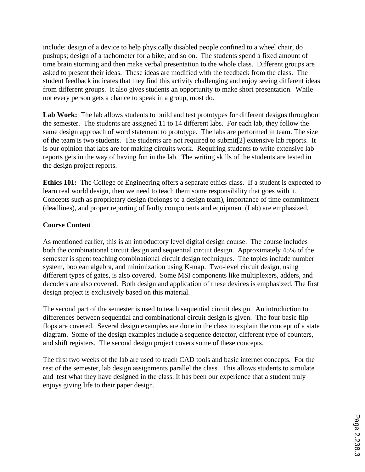include: design of a device to help physically disabled people confined to a wheel chair, do pushups; design of a tachometer for a bike; and so on. The students spend a fixed amount of time brain storming and then make verbal presentation to the whole class. Different groups are asked to present their ideas. These ideas are modified with the feedback from the class. The student feedback indicates that they find this activity challenging and enjoy seeing different ideas from different groups. It also gives students an opportunity to make short presentation. While not every person gets a chance to speak in a group, most do.

Lab Work: The lab allows students to build and test prototypes for different designs throughout the semester. The students are assigned 11 to 14 different labs. For each lab, they follow the same design approach of word statement to prototype. The labs are performed in team. The size of the team is two students. The students are not required to submit[2] extensive lab reports. It is our opinion that labs are for making circuits work. Requiring students to write extensive lab reports gets in the way of having fun in the lab. The writing skills of the students are tested in the design project reports.

**Ethics 101:** The College of Engineering offers a separate ethics class. If a student is expected to learn real world design, then we need to teach them some responsibility that goes with it. Concepts such as proprietary design (belongs to a design team), importance of time commitment (deadlines), and proper reporting of faulty components and equipment (Lab) are emphasized.

## **Course Content**

As mentioned earlier, this is an introductory level digital design course. The course includes both the combinational circuit design and sequential circuit design. Approximately 45% of the semester is spent teaching combinational circuit design techniques. The topics include number system, boolean algebra, and minimization using K-map. Two-level circuit design, using different types of gates, is also covered. Some MSI components like multiplexers, adders, and decoders are also covered. Both design and application of these devices is emphasized. The first design project is exclusively based on this material.

The second part of the semester is used to teach sequential circuit design. An introduction to differences between sequential and combinational circuit design is given. The four basic flip flops are covered. Several design examples are done in the class to explain the concept of a state diagram. Some of the design examples include a sequence detector, different type of counters, and shift registers. The second design project covers some of these concepts.

The first two weeks of the lab are used to teach CAD tools and basic internet concepts. For the rest of the semester, lab design assignments parallel the class. This allows students to simulate and test what they have designed in the class. It has been our experience that a student truly enjoys giving life to their paper design.